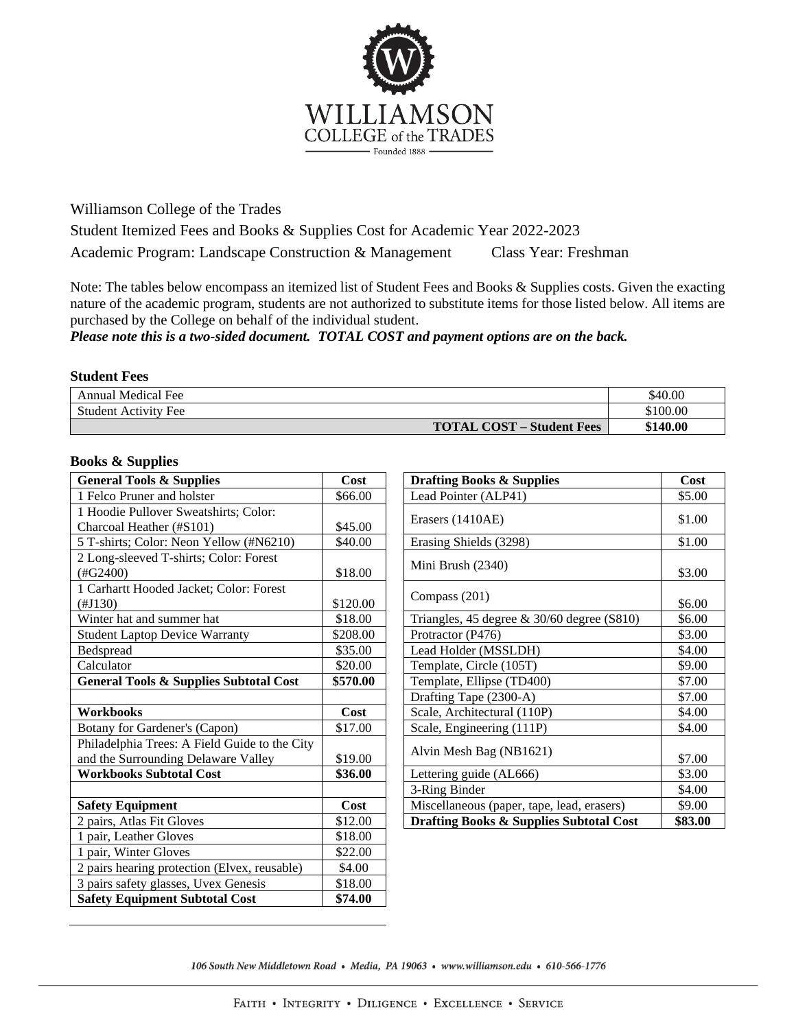

Williamson College of the Trades Student Itemized Fees and Books & Supplies Cost for Academic Year 2022-2023 Academic Program: Landscape Construction & Management Class Year: Freshman

Note: The tables below encompass an itemized list of Student Fees and Books & Supplies costs. Given the exacting nature of the academic program, students are not authorized to substitute items for those listed below. All items are purchased by the College on behalf of the individual student.

*Please note this is a two-sided document. TOTAL COST and payment options are on the back.*

## **Student Fees**

| Annual Medical Fee                    | \$40.00  |
|---------------------------------------|----------|
| <b>Student Activity Fee</b>           | \$100.00 |
| <b>TOTAL COST</b><br>' – Student Fees | \$140.00 |

## **Books & Supplies**

| <b>General Tools &amp; Supplies</b>                                                  | Cost     | <b>Drafting Books &amp; Supplies</b>               | Cost    |
|--------------------------------------------------------------------------------------|----------|----------------------------------------------------|---------|
| 1 Felco Pruner and holster                                                           | \$66.00  | Lead Pointer (ALP41)                               | \$5.00  |
| 1 Hoodie Pullover Sweatshirts; Color:                                                |          | Erasers (1410AE)                                   | \$1.00  |
| Charcoal Heather (#S101)                                                             | \$45.00  |                                                    |         |
| 5 T-shirts; Color: Neon Yellow (#N6210)                                              | \$40.00  | Erasing Shields (3298)                             | \$1.00  |
| 2 Long-sleeved T-shirts; Color: Forest<br>(HG2400)                                   | \$18.00  | Mini Brush (2340)                                  | \$3.00  |
| 1 Carhartt Hooded Jacket; Color: Forest<br>(HJ130)                                   | \$120.00 | Compass (201)                                      | \$6.00  |
| Winter hat and summer hat                                                            | \$18.00  | Triangles, 45 degree $\&$ 30/60 degree (S810)      | \$6.00  |
| <b>Student Laptop Device Warranty</b>                                                | \$208.00 | Protractor (P476)                                  | \$3.00  |
| Bedspread                                                                            | \$35.00  | Lead Holder (MSSLDH)                               | \$4.00  |
| Calculator                                                                           | \$20.00  | Template, Circle (105T)                            | \$9.00  |
| <b>General Tools &amp; Supplies Subtotal Cost</b>                                    | \$570.00 | Template, Ellipse (TD400)                          | \$7.00  |
|                                                                                      |          | Drafting Tape (2300-A)                             | \$7.00  |
| <b>Workbooks</b>                                                                     | Cost     | Scale, Architectural (110P)                        | \$4.00  |
| Botany for Gardener's (Capon)                                                        | \$17.00  | Scale, Engineering (111P)                          | \$4.00  |
| Philadelphia Trees: A Field Guide to the City<br>and the Surrounding Delaware Valley | \$19.00  | Alvin Mesh Bag (NB1621)                            | \$7.00  |
| <b>Workbooks Subtotal Cost</b>                                                       | \$36.00  | Lettering guide (AL666)                            | \$3.00  |
|                                                                                      |          | 3-Ring Binder                                      | \$4.00  |
| <b>Safety Equipment</b>                                                              | Cost     | Miscellaneous (paper, tape, lead, erasers)         | \$9.00  |
| 2 pairs, Atlas Fit Gloves                                                            | \$12.00  | <b>Drafting Books &amp; Supplies Subtotal Cost</b> | \$83.00 |
| 1 pair, Leather Gloves                                                               | \$18.00  |                                                    |         |
| 1 pair, Winter Gloves                                                                | \$22.00  |                                                    |         |
| 2 pairs hearing protection (Elvex, reusable)                                         | \$4.00   |                                                    |         |
| 3 pairs safety glasses, Uvex Genesis                                                 | \$18.00  |                                                    |         |
| <b>Safety Equipment Subtotal Cost</b>                                                | \$74.00  |                                                    |         |

| <b>Drafting Books &amp; Supplies</b>               | Cost    |
|----------------------------------------------------|---------|
| Lead Pointer (ALP41)                               | \$5.00  |
| Erasers (1410AE)                                   | \$1.00  |
| Erasing Shields (3298)                             | \$1.00  |
| Mini Brush (2340)                                  | \$3.00  |
| Compass (201)                                      | \$6.00  |
| Triangles, 45 degree $\&$ 30/60 degree (S810)      | \$6.00  |
| Protractor (P476)                                  | \$3.00  |
| Lead Holder (MSSLDH)                               | \$4.00  |
| Template, Circle (105T)                            | \$9.00  |
| Template, Ellipse (TD400)                          | \$7.00  |
| Drafting Tape (2300-A)                             | \$7.00  |
| Scale, Architectural (110P)                        | \$4.00  |
| Scale, Engineering (111P)                          | \$4.00  |
| Alvin Mesh Bag (NB1621)                            | \$7.00  |
| Lettering guide (AL666)                            | \$3.00  |
| 3-Ring Binder                                      | \$4.00  |
| Miscellaneous (paper, tape, lead, erasers)         | \$9.00  |
| <b>Drafting Books &amp; Supplies Subtotal Cost</b> | \$83.00 |

106 South New Middletown Road • Media, PA 19063 • www.williamson.edu • 610-566-1776